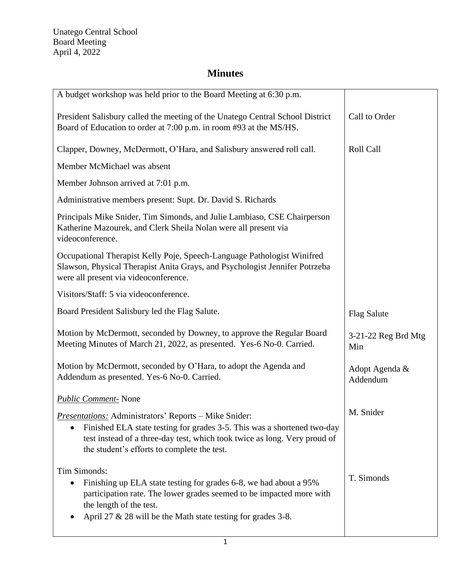| A budget workshop was held prior to the Board Meeting at 6:30 p.m.                                                                                                                                                                                                  |                            |
|---------------------------------------------------------------------------------------------------------------------------------------------------------------------------------------------------------------------------------------------------------------------|----------------------------|
| President Salisbury called the meeting of the Unatego Central School District<br>Board of Education to order at 7:00 p.m. in room #93 at the MS/HS.                                                                                                                 | Call to Order              |
| Clapper, Downey, McDermott, O'Hara, and Salisbury answered roll call.                                                                                                                                                                                               | Roll Call                  |
| Member McMichael was absent                                                                                                                                                                                                                                         |                            |
| Member Johnson arrived at 7:01 p.m.                                                                                                                                                                                                                                 |                            |
| Administrative members present: Supt. Dr. David S. Richards                                                                                                                                                                                                         |                            |
| Principals Mike Snider, Tim Simonds, and Julie Lambiaso, CSE Chairperson<br>Katherine Mazourek, and Clerk Sheila Nolan were all present via<br>videoconference.                                                                                                     |                            |
| Occupational Therapist Kelly Poje, Speech-Language Pathologist Winifred<br>Slawson, Physical Therapist Anita Grays, and Psychologist Jennifer Potrzeba<br>were all present via videoconference.                                                                     |                            |
| Visitors/Staff: 5 via videoconference.                                                                                                                                                                                                                              |                            |
| Board President Salisbury led the Flag Salute.                                                                                                                                                                                                                      | <b>Flag Salute</b>         |
| Motion by McDermott, seconded by Downey, to approve the Regular Board<br>Meeting Minutes of March 21, 2022, as presented. Yes-6 No-0. Carried.                                                                                                                      | 3-21-22 Reg Brd Mtg<br>Min |
| Motion by McDermott, seconded by O'Hara, to adopt the Agenda and<br>Addendum as presented. Yes-6 No-0. Carried.                                                                                                                                                     | Adopt Agenda &<br>Addendum |
| <b>Public Comment-</b> None                                                                                                                                                                                                                                         |                            |
| <b>Presentations:</b> Administrators' Reports – Mike Snider:<br>Finished ELA state testing for grades 3-5. This was a shortened two-day<br>test instead of a three-day test, which took twice as long. Very proud of<br>the student's efforts to complete the test. | M. Snider                  |
| Tim Simonds:<br>Finishing up ELA state testing for grades 6-8, we had about a 95%<br>participation rate. The lower grades seemed to be impacted more with<br>the length of the test.<br>April 27 $\&$ 28 will be the Math state testing for grades 3-8.             | T. Simonds                 |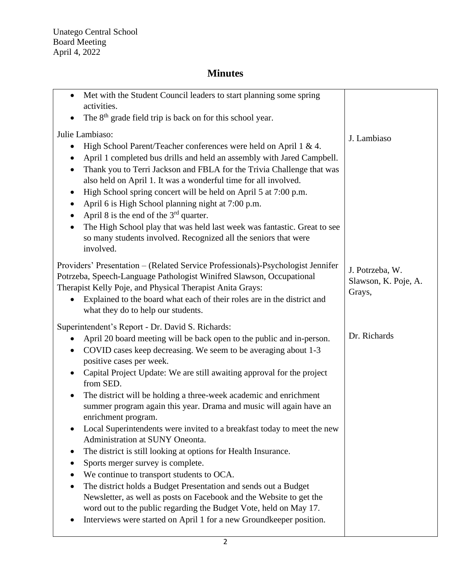| Met with the Student Council leaders to start planning some spring<br>$\bullet$                                                                                                                                                                                                                                                                                                                                                                                                                                                                                                                                                                                                                                                                                                           |                                                   |
|-------------------------------------------------------------------------------------------------------------------------------------------------------------------------------------------------------------------------------------------------------------------------------------------------------------------------------------------------------------------------------------------------------------------------------------------------------------------------------------------------------------------------------------------------------------------------------------------------------------------------------------------------------------------------------------------------------------------------------------------------------------------------------------------|---------------------------------------------------|
| activities.<br>The 8 <sup>th</sup> grade field trip is back on for this school year.<br>$\bullet$                                                                                                                                                                                                                                                                                                                                                                                                                                                                                                                                                                                                                                                                                         |                                                   |
|                                                                                                                                                                                                                                                                                                                                                                                                                                                                                                                                                                                                                                                                                                                                                                                           |                                                   |
| Julie Lambiaso:<br>High School Parent/Teacher conferences were held on April 1 & 4.<br>April 1 completed bus drills and held an assembly with Jared Campbell.<br>$\bullet$<br>Thank you to Terri Jackson and FBLA for the Trivia Challenge that was<br>$\bullet$<br>also held on April 1. It was a wonderful time for all involved.<br>High School spring concert will be held on April 5 at 7:00 p.m.<br>$\bullet$<br>April 6 is High School planning night at 7:00 p.m.<br>$\bullet$<br>April 8 is the end of the $3rd$ quarter.<br>$\bullet$<br>The High School play that was held last week was fantastic. Great to see<br>$\bullet$<br>so many students involved. Recognized all the seniors that were<br>involved.                                                                  | J. Lambiaso                                       |
| Providers' Presentation - (Related Service Professionals)-Psychologist Jennifer<br>Potrzeba, Speech-Language Pathologist Winifred Slawson, Occupational<br>Therapist Kelly Poje, and Physical Therapist Anita Grays:<br>Explained to the board what each of their roles are in the district and<br>$\bullet$<br>what they do to help our students.                                                                                                                                                                                                                                                                                                                                                                                                                                        | J. Potrzeba, W.<br>Slawson, K. Poje, A.<br>Grays, |
| Superintendent's Report - Dr. David S. Richards:<br>April 20 board meeting will be back open to the public and in-person.<br>$\bullet$<br>COVID cases keep decreasing. We seem to be averaging about 1-3<br>$\bullet$<br>positive cases per week.<br>Capital Project Update: We are still awaiting approval for the project<br>from SED.<br>The district will be holding a three-week academic and enrichment<br>$\bullet$<br>summer program again this year. Drama and music will again have an<br>enrichment program.<br>Local Superintendents were invited to a breakfast today to meet the new<br>Administration at SUNY Oneonta.<br>The district is still looking at options for Health Insurance.<br>Sports merger survey is complete.<br>We continue to transport students to OCA. | Dr. Richards                                      |
| The district holds a Budget Presentation and sends out a Budget<br>Newsletter, as well as posts on Facebook and the Website to get the<br>word out to the public regarding the Budget Vote, held on May 17.<br>Interviews were started on April 1 for a new Groundkeeper position.                                                                                                                                                                                                                                                                                                                                                                                                                                                                                                        |                                                   |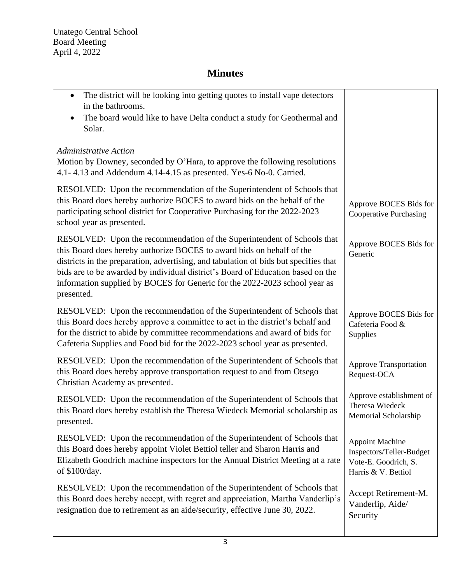| The district will be looking into getting quotes to install vape detectors<br>$\bullet$<br>in the bathrooms.<br>The board would like to have Delta conduct a study for Geothermal and                                                                                                                                                                                                                                   |                                                                                                   |
|-------------------------------------------------------------------------------------------------------------------------------------------------------------------------------------------------------------------------------------------------------------------------------------------------------------------------------------------------------------------------------------------------------------------------|---------------------------------------------------------------------------------------------------|
| Solar.                                                                                                                                                                                                                                                                                                                                                                                                                  |                                                                                                   |
| Administrative Action<br>Motion by Downey, seconded by O'Hara, to approve the following resolutions<br>4.1-4.13 and Addendum 4.14-4.15 as presented. Yes-6 No-0. Carried.                                                                                                                                                                                                                                               |                                                                                                   |
| RESOLVED: Upon the recommendation of the Superintendent of Schools that<br>this Board does hereby authorize BOCES to award bids on the behalf of the<br>participating school district for Cooperative Purchasing for the 2022-2023<br>school year as presented.                                                                                                                                                         | Approve BOCES Bids for<br><b>Cooperative Purchasing</b>                                           |
| RESOLVED: Upon the recommendation of the Superintendent of Schools that<br>this Board does hereby authorize BOCES to award bids on behalf of the<br>districts in the preparation, advertising, and tabulation of bids but specifies that<br>bids are to be awarded by individual district's Board of Education based on the<br>information supplied by BOCES for Generic for the 2022-2023 school year as<br>presented. | Approve BOCES Bids for<br>Generic                                                                 |
| RESOLVED: Upon the recommendation of the Superintendent of Schools that<br>this Board does hereby approve a committee to act in the district's behalf and<br>for the district to abide by committee recommendations and award of bids for<br>Cafeteria Supplies and Food bid for the 2022-2023 school year as presented.                                                                                                | Approve BOCES Bids for<br>Cafeteria Food &<br>Supplies                                            |
| RESOLVED: Upon the recommendation of the Superintendent of Schools that<br>this Board does hereby approve transportation request to and from Otsego<br>Christian Academy as presented.                                                                                                                                                                                                                                  | <b>Approve Transportation</b><br>Request-OCA                                                      |
| RESOLVED: Upon the recommendation of the Superintendent of Schools that<br>this Board does hereby establish the Theresa Wiedeck Memorial scholarship as<br>presented.                                                                                                                                                                                                                                                   | Approve establishment of<br>Theresa Wiedeck<br>Memorial Scholarship                               |
| RESOLVED: Upon the recommendation of the Superintendent of Schools that<br>this Board does hereby appoint Violet Bettiol teller and Sharon Harris and<br>Elizabeth Goodrich machine inspectors for the Annual District Meeting at a rate<br>of \$100/day.                                                                                                                                                               | <b>Appoint Machine</b><br>Inspectors/Teller-Budget<br>Vote-E. Goodrich, S.<br>Harris & V. Bettiol |
| RESOLVED: Upon the recommendation of the Superintendent of Schools that<br>this Board does hereby accept, with regret and appreciation, Martha Vanderlip's<br>resignation due to retirement as an aide/security, effective June 30, 2022.                                                                                                                                                                               | Accept Retirement-M.<br>Vanderlip, Aide/<br>Security                                              |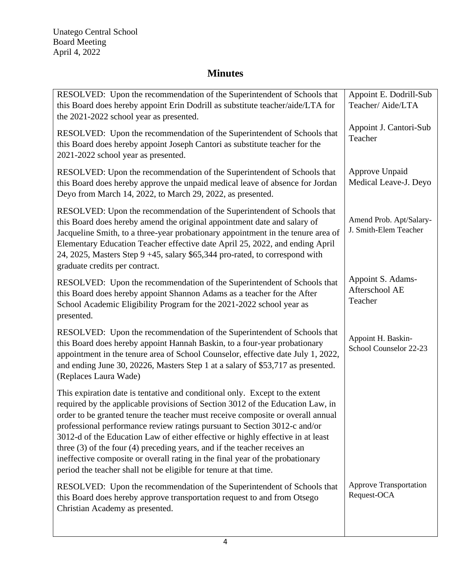| RESOLVED: Upon the recommendation of the Superintendent of Schools that<br>this Board does hereby appoint Erin Dodrill as substitute teacher/aide/LTA for<br>the 2021-2022 school year as presented.                                                                                                                                                                                                                                                                                                                                                                                                                                                     | Appoint E. Dodrill-Sub<br>Teacher/Aide/LTA       |
|----------------------------------------------------------------------------------------------------------------------------------------------------------------------------------------------------------------------------------------------------------------------------------------------------------------------------------------------------------------------------------------------------------------------------------------------------------------------------------------------------------------------------------------------------------------------------------------------------------------------------------------------------------|--------------------------------------------------|
| RESOLVED: Upon the recommendation of the Superintendent of Schools that<br>this Board does hereby appoint Joseph Cantori as substitute teacher for the<br>2021-2022 school year as presented.                                                                                                                                                                                                                                                                                                                                                                                                                                                            | Appoint J. Cantori-Sub<br>Teacher                |
| RESOLVED: Upon the recommendation of the Superintendent of Schools that<br>this Board does hereby approve the unpaid medical leave of absence for Jordan<br>Deyo from March 14, 2022, to March 29, 2022, as presented.                                                                                                                                                                                                                                                                                                                                                                                                                                   | Approve Unpaid<br>Medical Leave-J. Deyo          |
| RESOLVED: Upon the recommendation of the Superintendent of Schools that<br>this Board does hereby amend the original appointment date and salary of<br>Jacqueline Smith, to a three-year probationary appointment in the tenure area of<br>Elementary Education Teacher effective date April 25, 2022, and ending April<br>24, 2025, Masters Step 9 +45, salary \$65,344 pro-rated, to correspond with<br>graduate credits per contract.                                                                                                                                                                                                                 | Amend Prob. Apt/Salary-<br>J. Smith-Elem Teacher |
| RESOLVED: Upon the recommendation of the Superintendent of Schools that<br>this Board does hereby appoint Shannon Adams as a teacher for the After<br>School Academic Eligibility Program for the 2021-2022 school year as<br>presented.                                                                                                                                                                                                                                                                                                                                                                                                                 | Appoint S. Adams-<br>Afterschool AE<br>Teacher   |
| RESOLVED: Upon the recommendation of the Superintendent of Schools that<br>this Board does hereby appoint Hannah Baskin, to a four-year probationary<br>appointment in the tenure area of School Counselor, effective date July 1, 2022,<br>and ending June 30, 20226, Masters Step 1 at a salary of \$53,717 as presented.<br>(Replaces Laura Wade)                                                                                                                                                                                                                                                                                                     | Appoint H. Baskin-<br>School Counselor 22-23     |
| This expiration date is tentative and conditional only. Except to the extent<br>required by the applicable provisions of Section 3012 of the Education Law, in<br>order to be granted tenure the teacher must receive composite or overall annual<br>professional performance review ratings pursuant to Section 3012-c and/or<br>3012-d of the Education Law of either effective or highly effective in at least<br>three $(3)$ of the four $(4)$ preceding years, and if the teacher receives an<br>ineffective composite or overall rating in the final year of the probationary<br>period the teacher shall not be eligible for tenure at that time. |                                                  |
| RESOLVED: Upon the recommendation of the Superintendent of Schools that<br>this Board does hereby approve transportation request to and from Otsego<br>Christian Academy as presented.                                                                                                                                                                                                                                                                                                                                                                                                                                                                   | <b>Approve Transportation</b><br>Request-OCA     |